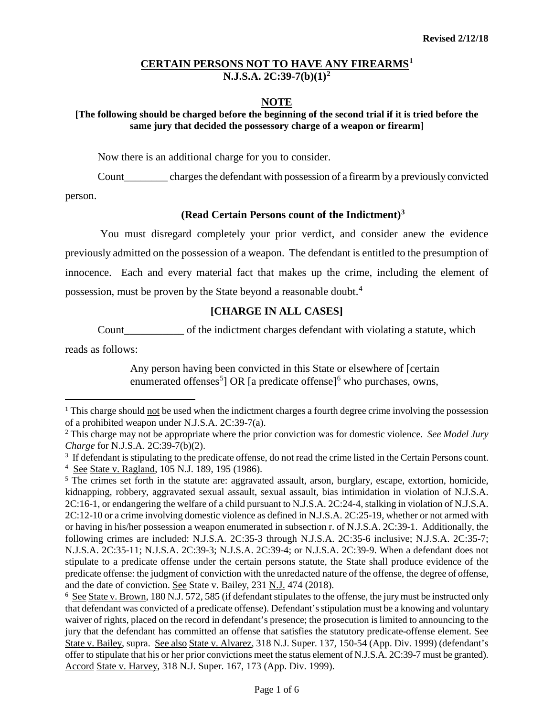# **CERTAIN PERSONS NOT TO HAVE ANY FIREARMS[1](#page-0-0)**

**N.J.S.A. 2C:39-7(b)(1)[2](#page-0-1)**

#### **NOTE**

## **[The following should be charged before the beginning of the second trial if it is tried before the same jury that decided the possessory charge of a weapon or firearm]**

Now there is an additional charge for you to consider.

Count\_\_\_\_\_\_\_\_ charges the defendant with possession of a firearm by a previously convicted

person.

## **(Read Certain Persons count of the Indictment)[3](#page-0-2)**

You must disregard completely your prior verdict, and consider anew the evidence previously admitted on the possession of a weapon. The defendant is entitled to the presumption of innocence. Each and every material fact that makes up the crime, including the element of possession, must be proven by the State beyond a reasonable doubt.[4](#page-0-3)

# **[CHARGE IN ALL CASES]**

Count\_\_\_\_\_\_\_\_\_\_\_ of the indictment charges defendant with violating a statute, which

reads as follows:

Any person having been convicted in this State or elsewhere of [certain enumerated offenses<sup>[5](#page-0-4)</sup>] OR [a predicate offense]<sup>[6](#page-0-5)</sup> who purchases, owns,

<span id="page-0-2"></span>*Charge* for N.J.S.A. 2C:39-7(b)(2).<br><sup>3</sup> If defendant is stipulating to the predicate offense, do not read the crime listed in the Certain Persons count.

<span id="page-0-3"></span>4 See State v. Ragland, 105 N.J. 189, 195 (1986).

<span id="page-0-0"></span>ī  $<sup>1</sup>$  This charge should not be used when the indictment charges a fourth degree crime involving the possession</sup> of a prohibited weapon under N.J.S.A. 2C:39-7(a).

<span id="page-0-1"></span><sup>2</sup> This charge may not be appropriate where the prior conviction was for domestic violence. *See Model Jury* 

<span id="page-0-4"></span><sup>&</sup>lt;sup>5</sup> The crimes set forth in the statute are: aggravated assault, arson, burglary, escape, extortion, homicide, kidnapping, robbery, aggravated sexual assault, sexual assault, bias intimidation in violation of N.J.S.A. 2C:16-1, or endangering the welfare of a child pursuant to N.J.S.A. 2C:24-4, stalking in violation of N.J.S.A. 2C:12-10 or a crime involving domestic violence as defined in N.J.S.A. 2C:25-19, whether or not armed with or having in his/her possession a weapon enumerated in subsection r. of N.J.S.A. 2C:39-1. Additionally, the following crimes are included: N.J.S.A. 2C:35-3 through N.J.S.A. 2C:35-6 inclusive; N.J.S.A. 2C:35-7; N.J.S.A. 2C:35-11; N.J.S.A. 2C:39-3; N.J.S.A. 2C:39-4; or N.J.S.A. 2C:39-9. When a defendant does not stipulate to a predicate offense under the certain persons statute, the State shall produce evidence of the predicate offense: the judgment of conviction with the unredacted nature of the offense, the degree of offense, and the date of conviction. See State v. Bailey, 231 N.J. 474 (2018).

<span id="page-0-5"></span><sup>&</sup>lt;sup>6</sup> See State v. Brown, 180 N.J. 572, 585 (if defendant stipulates to the offense, the jury must be instructed only that defendant was convicted of a predicate offense). Defendant's stipulation must be a knowing and voluntary waiver of rights, placed on the record in defendant's presence; the prosecution is limited to announcing to the jury that the defendant has committed an offense that satisfies the statutory predicate-offense element. See State v. Bailey, supra. See also State v. Alvarez, 318 N.J. Super. 137, 150-54 (App. Div. 1999) (defendant's offer to stipulate that his or her prior convictions meet the status element of N.J.S.A. 2C:39-7 must be granted). Accord State v. Harvey, 318 N.J. Super. 167, 173 (App. Div. 1999).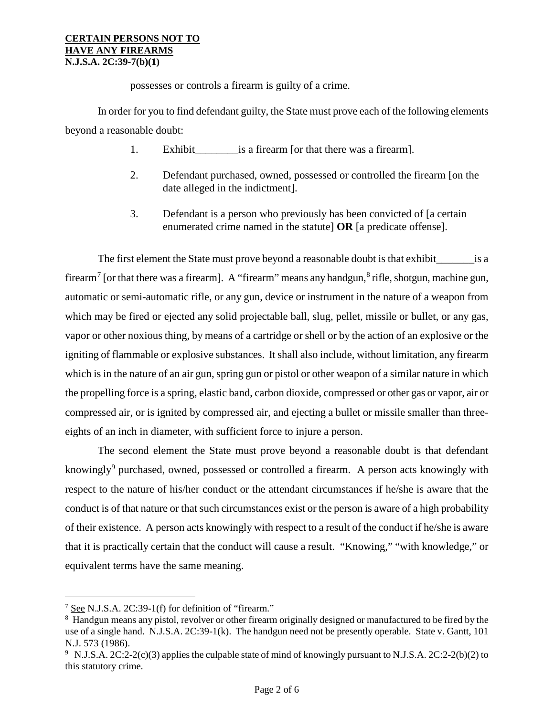possesses or controls a firearm is guilty of a crime.

In order for you to find defendant guilty, the State must prove each of the following elements beyond a reasonable doubt:

- 1. Exhibit is a firearm [or that there was a firearm].
- 2. Defendant purchased, owned, possessed or controlled the firearm [on the date alleged in the indictment].
- 3. Defendant is a person who previously has been convicted of [a certain enumerated crime named in the statute] **OR** [a predicate offense].

The first element the State must prove beyond a reasonable doubt is that exhibit is a firearm<sup>[7](#page-1-0)</sup> [or that there was a firearm]. A "firearm" means any handgun, $\frac{8}{3}$  $\frac{8}{3}$  $\frac{8}{3}$  rifle, shotgun, machine gun, automatic or semi-automatic rifle, or any gun, device or instrument in the nature of a weapon from which may be fired or ejected any solid projectable ball, slug, pellet, missile or bullet, or any gas, vapor or other noxious thing, by means of a cartridge or shell or by the action of an explosive or the igniting of flammable or explosive substances. It shall also include, without limitation, any firearm which is in the nature of an air gun, spring gun or pistol or other weapon of a similar nature in which the propelling force is a spring, elastic band, carbon dioxide, compressed or other gas or vapor, air or compressed air, or is ignited by compressed air, and ejecting a bullet or missile smaller than threeeights of an inch in diameter, with sufficient force to injure a person.

The second element the State must prove beyond a reasonable doubt is that defendant knowingly<sup>[9](#page-1-2)</sup> purchased, owned, possessed or controlled a firearm. A person acts knowingly with respect to the nature of his/her conduct or the attendant circumstances if he/she is aware that the conduct is of that nature or that such circumstances exist or the person is aware of a high probability of their existence. A person acts knowingly with respect to a result of the conduct if he/she is aware that it is practically certain that the conduct will cause a result. "Knowing," "with knowledge," or equivalent terms have the same meaning.

<span id="page-1-0"></span>ī  $7$  See N.J.S.A. 2C:39-1(f) for definition of "firearm."

<span id="page-1-1"></span><sup>&</sup>lt;sup>8</sup> Handgun means any pistol, revolver or other firearm originally designed or manufactured to be fired by the use of a single hand. N.J.S.A. 2C:39-1(k). The handgun need not be presently operable. State v. Gantt, 101 N.J. 573 (1986).

<span id="page-1-2"></span><sup>9</sup> N.J.S.A. 2C:2-2(c)(3) applies the culpable state of mind of knowingly pursuant to N.J.S.A. 2C:2-2(b)(2) to this statutory crime.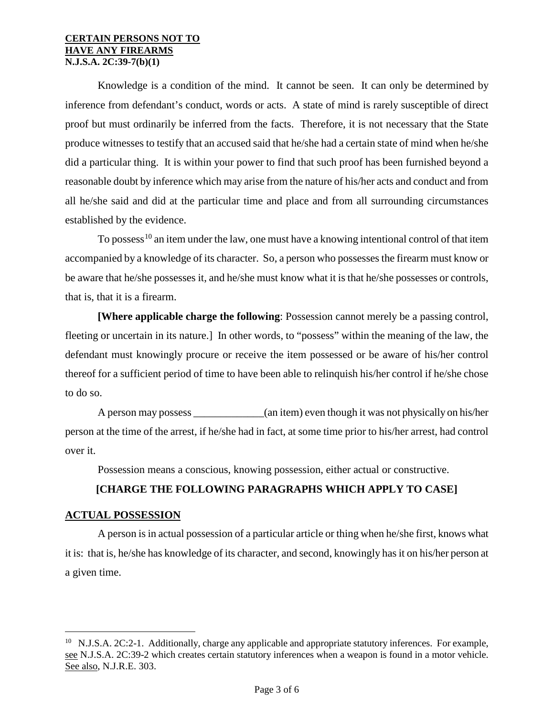#### **CERTAIN PERSONS NOT TO HAVE ANY FIREARMS N.J.S.A. 2C:39-7(b)(1)**

Knowledge is a condition of the mind. It cannot be seen. It can only be determined by inference from defendant's conduct, words or acts. A state of mind is rarely susceptible of direct proof but must ordinarily be inferred from the facts. Therefore, it is not necessary that the State produce witnesses to testify that an accused said that he/she had a certain state of mind when he/she did a particular thing. It is within your power to find that such proof has been furnished beyond a reasonable doubt by inference which may arise from the nature of his/her acts and conduct and from all he/she said and did at the particular time and place and from all surrounding circumstances established by the evidence.

To possess<sup>[10](#page-2-0)</sup> an item under the law, one must have a knowing intentional control of that item accompanied by a knowledge of its character. So, a person who possesses the firearm must know or be aware that he/she possesses it, and he/she must know what it is that he/she possesses or controls, that is, that it is a firearm.

**[Where applicable charge the following**: Possession cannot merely be a passing control, fleeting or uncertain in its nature.] In other words, to "possess" within the meaning of the law, the defendant must knowingly procure or receive the item possessed or be aware of his/her control thereof for a sufficient period of time to have been able to relinquish his/her control if he/she chose to do so.

A person may possess \_\_\_\_\_\_\_\_\_\_\_\_\_(an item) even though it was not physically on his/her person at the time of the arrest, if he/she had in fact, at some time prior to his/her arrest, had control over it.

Possession means a conscious, knowing possession, either actual or constructive.

# **[CHARGE THE FOLLOWING PARAGRAPHS WHICH APPLY TO CASE]**

# **ACTUAL POSSESSION**

A person is in actual possession of a particular article or thing when he/she first, knows what it is: that is, he/she has knowledge of its character, and second, knowingly has it on his/her person at a given time.

<span id="page-2-0"></span>ī <sup>10</sup> N.J.S.A. 2C:2-1. Additionally, charge any applicable and appropriate statutory inferences. For example, see N.J.S.A. 2C:39-2 which creates certain statutory inferences when a weapon is found in a motor vehicle. See also, N.J.R.E. 303.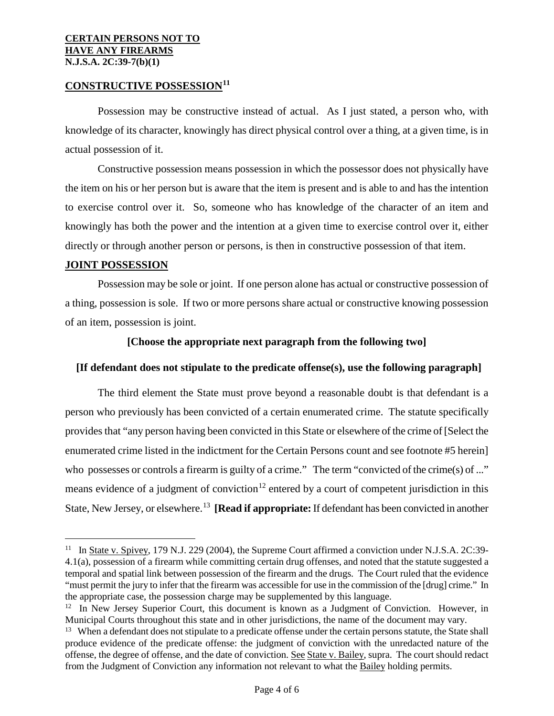#### **CERTAIN PERSONS NOT TO HAVE ANY FIREARMS N.J.S.A. 2C:39-7(b)(1)**

## **CONSTRUCTIVE POSSESSION[11](#page-3-0)**

Possession may be constructive instead of actual. As I just stated, a person who, with knowledge of its character, knowingly has direct physical control over a thing, at a given time, is in actual possession of it.

Constructive possession means possession in which the possessor does not physically have the item on his or her person but is aware that the item is present and is able to and has the intention to exercise control over it. So, someone who has knowledge of the character of an item and knowingly has both the power and the intention at a given time to exercise control over it, either directly or through another person or persons, is then in constructive possession of that item.

#### **JOINT POSSESSION**

Possession may be sole or joint. If one person alone has actual or constructive possession of a thing, possession is sole. If two or more persons share actual or constructive knowing possession of an item, possession is joint.

## **[Choose the appropriate next paragraph from the following two]**

## **[If defendant does not stipulate to the predicate offense(s), use the following paragraph]**

The third element the State must prove beyond a reasonable doubt is that defendant is a person who previously has been convicted of a certain enumerated crime. The statute specifically provides that "any person having been convicted in this State or elsewhere of the crime of [Select the enumerated crime listed in the indictment for the Certain Persons count and see footnote #5 herein] who possesses or controls a firearm is guilty of a crime." The term "convicted of the crime(s) of ..." means evidence of a judgment of conviction<sup>[12](#page-3-1)</sup> entered by a court of competent jurisdiction in this State, New Jersey, or elsewhere.<sup>[13](#page-3-2)</sup> **[Read if appropriate:** If defendant has been convicted in another

<span id="page-3-0"></span>ī <sup>11</sup> In State v. Spivey, 179 N.J. 229 (2004), the Supreme Court affirmed a conviction under N.J.S.A. 2C:39-4.1(a), possession of a firearm while committing certain drug offenses, and noted that the statute suggested a temporal and spatial link between possession of the firearm and the drugs. The Court ruled that the evidence "must permit the jury to infer that the firearm was accessible for use in the commission of the [drug] crime." In the appropriate case, the possession charge may be supplemented by this language.

<span id="page-3-1"></span><sup>&</sup>lt;sup>12</sup> In New Jersey Superior Court, this document is known as a Judgment of Conviction. However, in Municipal Courts throughout this state and in other jurisdictions, the name of the document may vary.

<span id="page-3-2"></span><sup>&</sup>lt;sup>13</sup> When a defendant does not stipulate to a predicate offense under the certain persons statute, the State shall produce evidence of the predicate offense: the judgment of conviction with the unredacted nature of the offense, the degree of offense, and the date of conviction. See State v. Bailey, supra. The court should redact from the Judgment of Conviction any information not relevant to what the Bailey holding permits.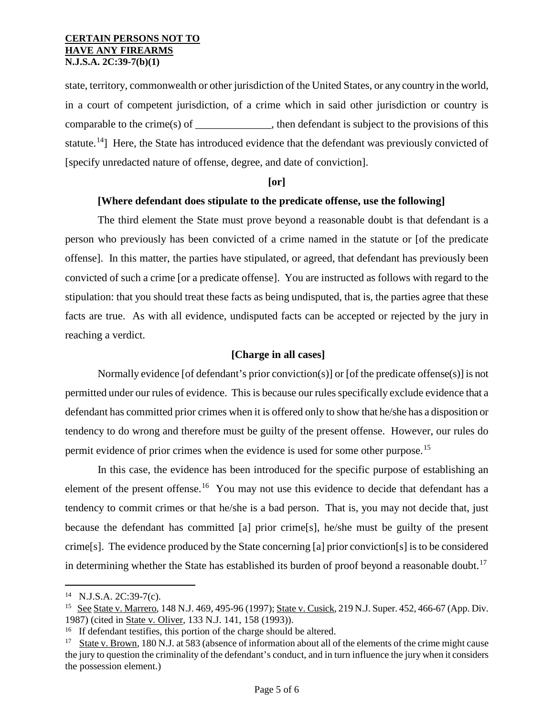state, territory, commonwealth or other jurisdiction of the United States, or any country in the world, in a court of competent jurisdiction, of a crime which in said other jurisdiction or country is comparable to the crime(s) of \_\_\_\_\_\_\_\_\_\_, then defendant is subject to the provisions of this statute.<sup>14</sup>] Here, the State has introduced evidence that the defendant was previously convicted of [specify unredacted nature of offense, degree, and date of conviction].

## **[or]**

## **[Where defendant does stipulate to the predicate offense, use the following]**

The third element the State must prove beyond a reasonable doubt is that defendant is a person who previously has been convicted of a crime named in the statute or [of the predicate offense]. In this matter, the parties have stipulated, or agreed, that defendant has previously been convicted of such a crime [or a predicate offense]. You are instructed as follows with regard to the stipulation: that you should treat these facts as being undisputed, that is, the parties agree that these facts are true. As with all evidence, undisputed facts can be accepted or rejected by the jury in reaching a verdict.

#### **[Charge in all cases]**

Normally evidence [of defendant's prior conviction(s)] or [of the predicate offense(s)] is not permitted under our rules of evidence. This is because our rules specifically exclude evidence that a defendant has committed prior crimes when it is offered only to show that he/she has a disposition or tendency to do wrong and therefore must be guilty of the present offense. However, our rules do permit evidence of prior crimes when the evidence is used for some other purpose.[15](#page-4-1)

In this case, the evidence has been introduced for the specific purpose of establishing an element of the present offense.<sup>[16](#page-4-2)</sup> You may not use this evidence to decide that defendant has a tendency to commit crimes or that he/she is a bad person. That is, you may not decide that, just because the defendant has committed [a] prior crime[s], he/she must be guilty of the present crime[s]. The evidence produced by the State concerning [a] prior conviction[s] is to be considered in determining whether the State has established its burden of proof beyond a reasonable doubt.<sup>[17](#page-4-3)</sup>

ī  $^{14}$  N.J.S.A. 2C:39-7(c).

<span id="page-4-1"></span><span id="page-4-0"></span><sup>15</sup> See State v. Marrero, 148 N.J. 469, 495-96 (1997); State v. Cusick, 219 N.J. Super. 452, 466-67 (App. Div. 1987) (cited in State v. Oliver, 133 N.J. 141, 158 (1993)).

<span id="page-4-2"></span><sup>&</sup>lt;sup>16</sup> If defendant testifies, this portion of the charge should be altered.

<span id="page-4-3"></span><sup>&</sup>lt;sup>17</sup> State v. Brown, 180 N.J. at 583 (absence of information about all of the elements of the crime might cause the jury to question the criminality of the defendant's conduct, and in turn influence the jury when it considers the possession element.)